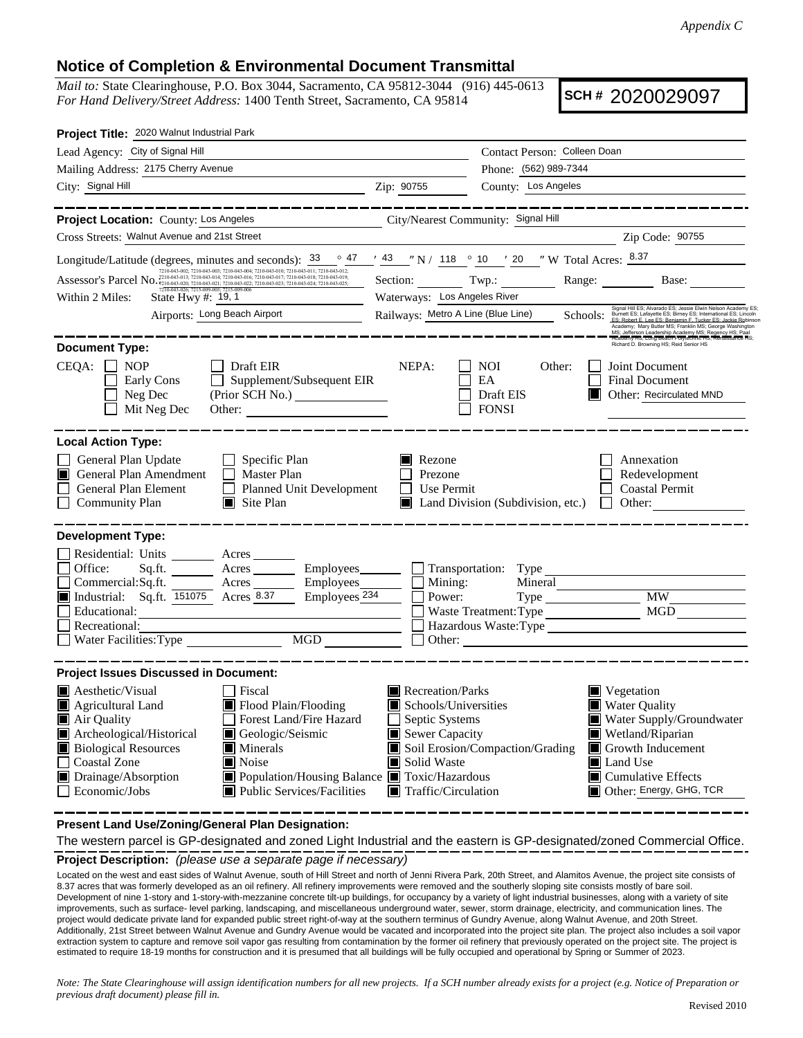## **Notice of Completion & Environmental Document Transmittal**

*Mail to:* State Clearinghouse, P.O. Box 3044, Sacramento, CA 95812-3044 (916) 445-0613 *For Hand Delivery/Street Address:* 1400 Tenth Street, Sacramento, CA 95814

**SCH #** 2020029097

| Project Title: 2020 Walnut Industrial Park                                                                                                                                                                                                                                                                                                                                                                                                                                                                                                                                                                                                                                                                                                                     |                                                                                                                                                                                                                                                                                                                                                            |                                                                      |                                                                                                                                                                                                                            |  |  |  |  |
|----------------------------------------------------------------------------------------------------------------------------------------------------------------------------------------------------------------------------------------------------------------------------------------------------------------------------------------------------------------------------------------------------------------------------------------------------------------------------------------------------------------------------------------------------------------------------------------------------------------------------------------------------------------------------------------------------------------------------------------------------------------|------------------------------------------------------------------------------------------------------------------------------------------------------------------------------------------------------------------------------------------------------------------------------------------------------------------------------------------------------------|----------------------------------------------------------------------|----------------------------------------------------------------------------------------------------------------------------------------------------------------------------------------------------------------------------|--|--|--|--|
| Lead Agency: City of Signal Hill                                                                                                                                                                                                                                                                                                                                                                                                                                                                                                                                                                                                                                                                                                                               |                                                                                                                                                                                                                                                                                                                                                            | Contact Person: Colleen Doan                                         |                                                                                                                                                                                                                            |  |  |  |  |
| Mailing Address: 2175 Cherry Avenue                                                                                                                                                                                                                                                                                                                                                                                                                                                                                                                                                                                                                                                                                                                            |                                                                                                                                                                                                                                                                                                                                                            | Phone: (562) 989-7344                                                |                                                                                                                                                                                                                            |  |  |  |  |
| City: Signal Hill                                                                                                                                                                                                                                                                                                                                                                                                                                                                                                                                                                                                                                                                                                                                              | Zip: 90755                                                                                                                                                                                                                                                                                                                                                 | County: Los Angeles                                                  |                                                                                                                                                                                                                            |  |  |  |  |
|                                                                                                                                                                                                                                                                                                                                                                                                                                                                                                                                                                                                                                                                                                                                                                |                                                                                                                                                                                                                                                                                                                                                            |                                                                      |                                                                                                                                                                                                                            |  |  |  |  |
| Project Location: County: Los Angeles                                                                                                                                                                                                                                                                                                                                                                                                                                                                                                                                                                                                                                                                                                                          | City/Nearest Community: Signal Hill                                                                                                                                                                                                                                                                                                                        |                                                                      |                                                                                                                                                                                                                            |  |  |  |  |
| Cross Streets: Walnut Avenue and 21st Street                                                                                                                                                                                                                                                                                                                                                                                                                                                                                                                                                                                                                                                                                                                   |                                                                                                                                                                                                                                                                                                                                                            |                                                                      | Zip Code: 90755                                                                                                                                                                                                            |  |  |  |  |
| Longitude/Latitude (degrees, minutes and seconds): 33                                                                                                                                                                                                                                                                                                                                                                                                                                                                                                                                                                                                                                                                                                          |                                                                                                                                                                                                                                                                                                                                                            | $\frac{\circ}{47}$ (43 "N / 118 $\circ$ 10 ' 20 "W Total Acres: 8.37 |                                                                                                                                                                                                                            |  |  |  |  |
| Assessor's Parcel No. 7210-043-003; 7210-043-004; 7210-043-012; 7210-043-012; 7210-043-012; 7210-043-012; 7210-043-012; 7210-043-012; 7210-043-012; 7210-043-012; 7210-043-012; 7210-043-012; 7210-043-012; 7210-043-012; 7210                                                                                                                                                                                                                                                                                                                                                                                                                                                                                                                                 |                                                                                                                                                                                                                                                                                                                                                            |                                                                      | Section: Twp.: Range: Base:                                                                                                                                                                                                |  |  |  |  |
| State Hwy #: 19, 1<br>Within 2 Miles:                                                                                                                                                                                                                                                                                                                                                                                                                                                                                                                                                                                                                                                                                                                          | Waterways: Los Angeles River                                                                                                                                                                                                                                                                                                                               |                                                                      |                                                                                                                                                                                                                            |  |  |  |  |
| Airports: Long Beach Airport                                                                                                                                                                                                                                                                                                                                                                                                                                                                                                                                                                                                                                                                                                                                   | Signal Hill ES; Alvarado ES; Jessie Elwin Nelson Academy ES<br>Railways: Metro A Line (Blue Line) Schools: Best and and ES; Leader ES; Leader Box 2014 (Blue Line of Schools)<br>Academy; Mary Butler MS; Franklin MS; George Washington<br>MS; Jefferson Leadership Academy MS; Regency HS; Paal<br>Academy HS; Long Beach Polytechnic HS; Renaissance HS |                                                                      |                                                                                                                                                                                                                            |  |  |  |  |
| <b>Document Type:</b>                                                                                                                                                                                                                                                                                                                                                                                                                                                                                                                                                                                                                                                                                                                                          |                                                                                                                                                                                                                                                                                                                                                            |                                                                      | Richard D. Browning HS; Reid Senior HS                                                                                                                                                                                     |  |  |  |  |
| CEQA:<br><b>NOP</b><br>Draft EIR<br>Supplement/Subsequent EIR<br>Early Cons<br>Neg Dec<br>Mit Neg Dec                                                                                                                                                                                                                                                                                                                                                                                                                                                                                                                                                                                                                                                          | NEPA:                                                                                                                                                                                                                                                                                                                                                      | <b>NOI</b><br>Other:<br>EA<br>Draft EIS<br><b>FONSI</b>              | Joint Document<br><b>Final Document</b><br>Other: Recirculated MND<br>ШL                                                                                                                                                   |  |  |  |  |
| <b>Local Action Type:</b>                                                                                                                                                                                                                                                                                                                                                                                                                                                                                                                                                                                                                                                                                                                                      |                                                                                                                                                                                                                                                                                                                                                            |                                                                      |                                                                                                                                                                                                                            |  |  |  |  |
| General Plan Update<br>$\Box$ Specific Plan<br>General Plan Amendment<br>$\Box$ Master Plan<br>П<br>General Plan Element<br>Planned Unit Development<br>$\blacksquare$ Site Plan<br>Community Plan                                                                                                                                                                                                                                                                                                                                                                                                                                                                                                                                                             | Rezone<br>n<br>Prezone<br>Use Permit                                                                                                                                                                                                                                                                                                                       | ■ Land Division (Subdivision, etc.) □ Other:                         | Annexation<br>Redevelopment<br><b>Coastal Permit</b>                                                                                                                                                                       |  |  |  |  |
| <b>Development Type:</b>                                                                                                                                                                                                                                                                                                                                                                                                                                                                                                                                                                                                                                                                                                                                       |                                                                                                                                                                                                                                                                                                                                                            |                                                                      |                                                                                                                                                                                                                            |  |  |  |  |
| Residential: Units _______ Acres__<br>Office:<br>Sq.ft. Acres Employees<br>Commercial:Sq.ft.<br>$\frac{1}{\sqrt{1-\frac{1}{2}}}\arctan \frac{1}{2\sqrt{1-\frac{1}{2}}}\arctan \frac{1}{2\sqrt{1-\frac{1}{2}}}\arctan \frac{1}{2\sqrt{1-\frac{1}{2}}}\arctan \frac{1}{2\sqrt{1-\frac{1}{2}}}\arctan \frac{1}{2\sqrt{1-\frac{1}{2}}}\arctan \frac{1}{2\sqrt{1-\frac{1}{2}}}\arctan \frac{1}{2\sqrt{1-\frac{1}{2}}}\arctan \frac{1}{2\sqrt{1-\frac{1}{2}}}\arctan \frac{1}{2\sqrt{1-\frac{1}{2}}}\arctan \frac{1}{2\sqrt{1-\$<br>Employees_______<br><b>Industrial:</b> Sq.ft. $\overline{151075}$ Acres 8.37<br>Employees <sup>234</sup><br>Educational:<br>Recreational:<br><u> 1989 - Johann Stoff, fransk politik (d. 19</u><br>MGD<br>Water Facilities: Type | Mining:<br>Power:<br>Other:                                                                                                                                                                                                                                                                                                                                | $\Box$ Transportation: Type<br>Mineral<br>Waste Treatment: Type      | MW NW<br>MGD<br>Hazardous Waste:Type                                                                                                                                                                                       |  |  |  |  |
| <b>Project Issues Discussed in Document:</b>                                                                                                                                                                                                                                                                                                                                                                                                                                                                                                                                                                                                                                                                                                                   |                                                                                                                                                                                                                                                                                                                                                            |                                                                      |                                                                                                                                                                                                                            |  |  |  |  |
| $\blacksquare$ Aesthetic/Visual<br>Fiscal<br>Flood Plain/Flooding<br>$\blacksquare$ Agricultural Land<br>Forest Land/Fire Hazard<br>Air Quality<br>Archeological/Historical<br>Geologic/Seismic<br><b>Biological Resources</b><br>$\blacksquare$ Minerals<br>□ Coastal Zone<br>$\blacksquare$ Noise<br>Drainage/Absorption<br>■ Population/Housing Balance ■ Toxic/Hazardous<br>■ Public Services/Facilities<br>Economic/Jobs                                                                                                                                                                                                                                                                                                                                  | Recreation/Parks<br>Schools/Universities<br>Septic Systems<br>Sewer Capacity<br>Solid Waste<br>$\blacksquare$ Traffic/Circulation                                                                                                                                                                                                                          | Soil Erosion/Compaction/Grading                                      | Vegetation<br><b>Water Quality</b><br>Water Supply/Groundwater<br>Wetland/Riparian<br>$\blacksquare$ Growth Inducement<br>$\blacksquare$ Land Use<br>$\blacksquare$ Cumulative Effects<br><b>I</b> Other: Energy, GHG, TCR |  |  |  |  |

**Present Land Use/Zoning/General Plan Designation:**

**Project Description:** *(please use a separate page if necessary)* The western parcel is GP-designated and zoned Light Industrial and the eastern is GP-designated/zoned Commercial Office.

Located on the west and east sides of Walnut Avenue, south of Hill Street and north of Jenni Rivera Park, 20th Street, and Alamitos Avenue, the project site consists of 8.37 acres that was formerly developed as an oil refinery. All refinery improvements were removed and the southerly sloping site consists mostly of bare soil. Development of nine 1-story and 1-story-with-mezzanine concrete tilt-up buildings, for occupancy by a variety of light industrial businesses, along with a variety of site improvements, such as surface- level parking, landscaping, and miscellaneous underground water, sewer, storm drainage, electricity, and communication lines. The project would dedicate private land for expanded public street right-of-way at the southern terminus of Gundry Avenue, along Walnut Avenue, and 20th Street. Additionally, 21st Street between Walnut Avenue and Gundry Avenue would be vacated and incorporated into the project site plan. The project also includes a soil vapor extraction system to capture and remove soil vapor gas resulting from contamination by the former oil refinery that previously operated on the project site. The project is estimated to require 18-19 months for construction and it is presumed that all buildings will be fully occupied and operational by Spring or Summer of 2023.

*Note: The State Clearinghouse will assign identification numbers for all new projects. If a SCH number already exists for a project (e.g. Notice of Preparation or previous draft document) please fill in.*